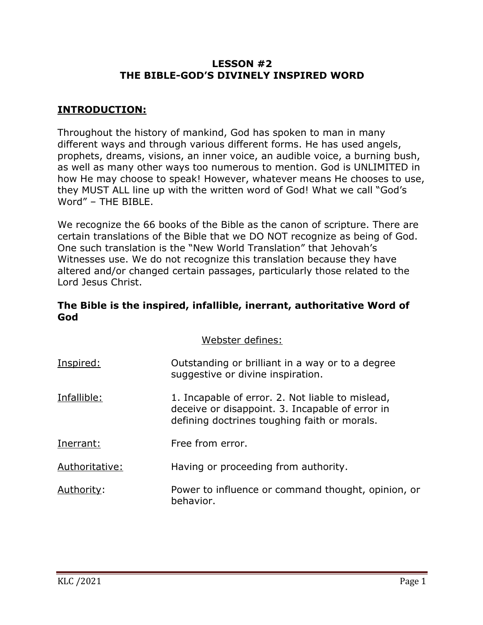## **LESSON #2 THE BIBLE-GOD'S DIVINELY INSPIRED WORD**

## **INTRODUCTION:**

Throughout the history of mankind, God has spoken to man in many different ways and through various different forms. He has used angels, prophets, dreams, visions, an inner voice, an audible voice, a burning bush, as well as many other ways too numerous to mention. God is UNLIMITED in how He may choose to speak! However, whatever means He chooses to use, they MUST ALL line up with the written word of God! What we call "God's Word" – THE BIBLE.

We recognize the 66 books of the Bible as the canon of scripture. There are certain translations of the Bible that we DO NOT recognize as being of God. One such translation is the "New World Translation" that Jehovah's Witnesses use. We do not recognize this translation because they have altered and/or changed certain passages, particularly those related to the Lord Jesus Christ.

## **The Bible is the inspired, infallible, inerrant, authoritative Word of God**

Webster defines:

| Inspired:      | Outstanding or brilliant in a way or to a degree<br>suggestive or divine inspiration.                                                               |
|----------------|-----------------------------------------------------------------------------------------------------------------------------------------------------|
| Infallible:    | 1. Incapable of error. 2. Not liable to mislead,<br>deceive or disappoint. 3. Incapable of error in<br>defining doctrines toughing faith or morals. |
| Inerrant:      | Free from error.                                                                                                                                    |
| Authoritative: | Having or proceeding from authority.                                                                                                                |
| Authority:     | Power to influence or command thought, opinion, or<br>behavior.                                                                                     |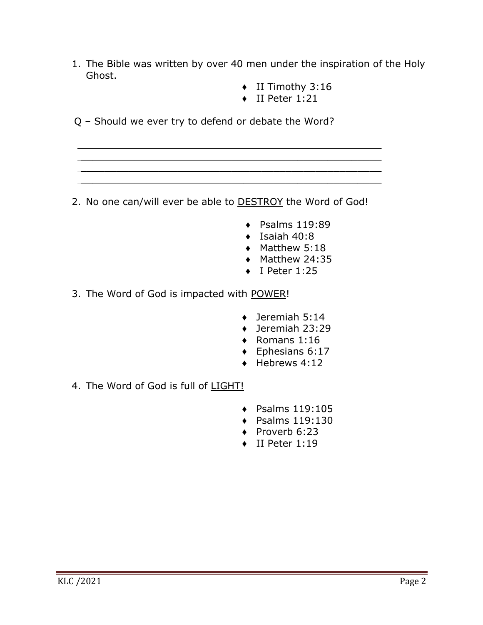- 1. The Bible was written by over 40 men under the inspiration of the Holy Ghost.
	- ♦ II Timothy 3:16
	- ♦ II Peter 1:21

Q – Should we ever try to defend or debate the Word?

2. No one can/will ever be able to **DESTROY** the Word of God!

 $\mathcal{L}_\text{max} = \frac{1}{2} \sum_{i=1}^{n} \frac{1}{2} \sum_{i=1}^{n} \frac{1}{2} \sum_{i=1}^{n} \frac{1}{2} \sum_{i=1}^{n} \frac{1}{2} \sum_{i=1}^{n} \frac{1}{2} \sum_{i=1}^{n} \frac{1}{2} \sum_{i=1}^{n} \frac{1}{2} \sum_{i=1}^{n} \frac{1}{2} \sum_{i=1}^{n} \frac{1}{2} \sum_{i=1}^{n} \frac{1}{2} \sum_{i=1}^{n} \frac{1}{2} \sum_{i=1}^{n} \frac{1$  $\mathcal{L}_\text{max} = \frac{1}{2} \sum_{i=1}^{n} \frac{1}{2} \sum_{i=1}^{n} \frac{1}{2} \sum_{i=1}^{n} \frac{1}{2} \sum_{i=1}^{n} \frac{1}{2} \sum_{i=1}^{n} \frac{1}{2} \sum_{i=1}^{n} \frac{1}{2} \sum_{i=1}^{n} \frac{1}{2} \sum_{i=1}^{n} \frac{1}{2} \sum_{i=1}^{n} \frac{1}{2} \sum_{i=1}^{n} \frac{1}{2} \sum_{i=1}^{n} \frac{1}{2} \sum_{i=1}^{n} \frac{1$  $\mathcal{L}_\text{max} = \frac{1}{2} \sum_{i=1}^{n} \frac{1}{2} \sum_{i=1}^{n} \frac{1}{2} \sum_{i=1}^{n} \frac{1}{2} \sum_{i=1}^{n} \frac{1}{2} \sum_{i=1}^{n} \frac{1}{2} \sum_{i=1}^{n} \frac{1}{2} \sum_{i=1}^{n} \frac{1}{2} \sum_{i=1}^{n} \frac{1}{2} \sum_{i=1}^{n} \frac{1}{2} \sum_{i=1}^{n} \frac{1}{2} \sum_{i=1}^{n} \frac{1}{2} \sum_{i=1}^{n} \frac{1$ 

- $\leftarrow$  Psalms 119:89
- $\triangleleft$  Isaiah 40:8
- ♦ Matthew 5:18
- ♦ Matthew 24:35
- ♦ I Peter 1:25

3. The Word of God is impacted with POWER!

- ♦ Jeremiah 5:14
- ♦ Jeremiah 23:29
- $\triangleleft$  Romans 1:16
- ♦ Ephesians 6:17
- $\leftrightarrow$  Hebrews 4:12
- 4. The Word of God is full of LIGHT!
	- $\bullet$  Psalms 119:105
	- ♦ Psalms 119:130
	- ◆ Proverb 6:23
	- ♦ II Peter 1:19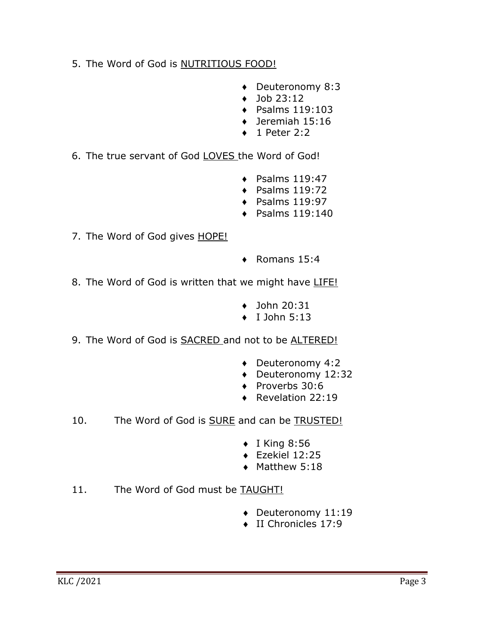- 5. The Word of God is **NUTRITIOUS FOOD!** 
	- ♦ Deuteronomy 8:3
	- $\bullet$  Job 23:12
	- $\triangleleft$  Psalms 119:103
	- ♦ Jeremiah 15:16
	- 1 Peter 2:2
- 6. The true servant of God LOVES the Word of God!
	- $\triangleleft$  Psalms 119:47
	- ♦ Psalms 119:72
	- $\triangleleft$  Psalms 119:97
	- $\triangleleft$  Psalms 119:140
- 7. The Word of God gives HOPE!
- ♦ Romans 15:4
- 8. The Word of God is written that we might have LIFE!
	- $\triangleleft$  John 20:31
	- I John 5:13
- 9. The Word of God is **SACRED** and not to be **ALTERED!** 
	- ♦ Deuteronomy 4:2
	- ♦ Deuteronomy 12:32
	- ♦ Proverbs 30:6
	- ♦ Revelation 22:19
- 10. The Word of God is **SURE** and can be **TRUSTED!** 
	- $\bullet$  I King 8:56
	- $\triangleleft$  Ezekiel 12:25
	- $\triangleleft$  Matthew 5:18
- 11. The Word of God must be TAUGHT!
	- Deuteronomy 11:19
	- $\bullet$  II Chronicles 17:9